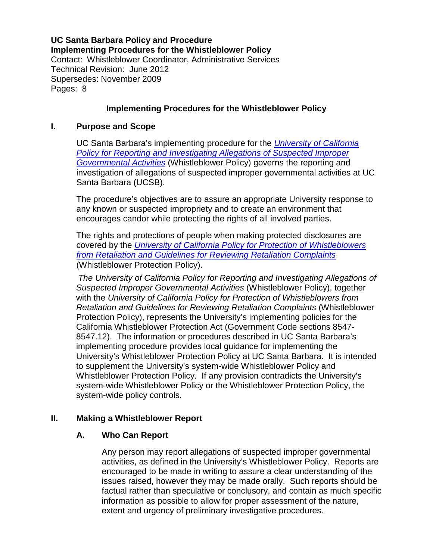**UC Santa Barbara Policy and Procedure Implementing Procedures for the Whistleblower Policy** Contact: Whistleblower Coordinator, Administrative Services Technical Revision: June 2012 Supersedes: November 2009 Pages: 8

# **Implementing Procedures for the Whistleblower Policy**

### **I. Purpose and Scope**

UC Santa Barbara's implementing procedure for the *[University of California](http://www.ucop.edu/ucophome/coordrev/policy/PP040208Policy.pdf)  [Policy for Reporting and Investigating Allegations of Suspected Improper](http://www.ucop.edu/ucophome/coordrev/policy/PP040208Policy.pdf)  [Governmental Activities](http://www.ucop.edu/ucophome/coordrev/policy/PP040208Policy.pdf)* (Whistleblower Policy) governs the reporting and investigation of allegations of suspected improper governmental activities at UC Santa Barbara (UCSB).

The procedure's objectives are to assure an appropriate University response to any known or suspected impropriety and to create an environment that encourages candor while protecting the rights of all involved parties.

The rights and protections of people when making protected disclosures are covered by the *[University of California Policy for Protection of Whistleblowers](http://www.ucop.edu/ucophome/coordrev/policy/10-04-02retaliation.pdf)  [from Retaliation and Guidelines for Reviewing Retaliation Complaints](http://www.ucop.edu/ucophome/coordrev/policy/10-04-02retaliation.pdf)* (Whistleblower Protection Policy).

*The University of California Policy for Reporting and Investigating Allegations of Suspected Improper Governmental Activities* (Whistleblower Policy), together with the *University of California Policy for Protection of Whistleblowers from Retaliation and Guidelines for Reviewing Retaliation Complaints* (Whistleblower Protection Policy), represents the University's implementing policies for the California Whistleblower Protection Act (Government Code sections 8547- 8547.12). The information or procedures described in UC Santa Barbara's implementing procedure provides local guidance for implementing the University's Whistleblower Protection Policy at UC Santa Barbara. It is intended to supplement the University's system-wide Whistleblower Policy and Whistleblower Protection Policy. If any provision contradicts the University's system-wide Whistleblower Policy or the Whistleblower Protection Policy, the system-wide policy controls.

# **II. Making a Whistleblower Report**

# **A. Who Can Report**

Any person may report allegations of suspected improper governmental activities, as defined in the University's Whistleblower Policy. Reports are encouraged to be made in writing to assure a clear understanding of the issues raised, however they may be made orally. Such reports should be factual rather than speculative or conclusory, and contain as much specific information as possible to allow for proper assessment of the nature, extent and urgency of preliminary investigative procedures.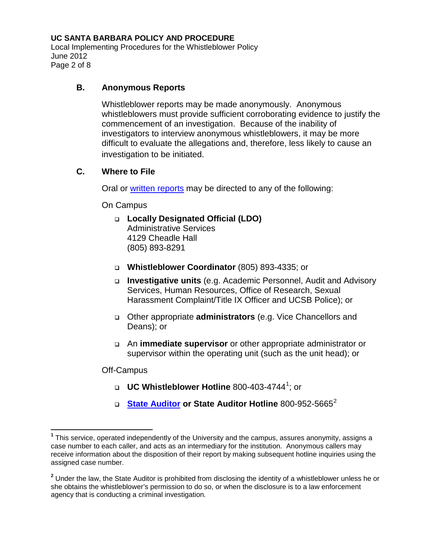Local Implementing Procedures for the Whistleblower Policy June 2012 Page 2 of 8

## **B. Anonymous Reports**

Whistleblower reports may be made anonymously. Anonymous whistleblowers must provide sufficient corroborating evidence to justify the commencement of an investigation. Because of the inability of investigators to interview anonymous whistleblowers, it may be more difficult to evaluate the allegations and, therefore, less likely to cause an investigation to be initiated.

### **C. Where to File**

Oral or [written reports](http://www.whistleblower.ucsb.edu/WB%20Reporting%20Form.pdf) may be directed to any of the following:

On Campus

- **Locally Designated Official (LDO)** Administrative Services 4129 Cheadle Hall (805) 893-8291
- **Whistleblower Coordinator** (805) 893-4335; or
- **Investigative units** (e.g. Academic Personnel, Audit and Advisory Services, Human Resources, Office of Research, Sexual Harassment Complaint/Title IX Officer and UCSB Police); or
- Other appropriate **administrators** (e.g. Vice Chancellors and Deans); or
- An **immediate supervisor** or other appropriate administrator or supervisor within the operating unit (such as the unit head); or

Off-Campus

- **UC Whistleblower Hotline** 800-403-4744[1](#page-1-0) ; or
- **[State Auditor](http://www.bsa.ca.gov/) or State Auditor Hotline** 800-952-5665[2](#page-1-1)

<span id="page-1-0"></span>**<sup>1</sup>** This service, operated independently of the University and the campus, assures anonymity, assigns a case number to each caller, and acts as an intermediary for the institution. Anonymous callers may receive information about the disposition of their report by making subsequent hotline inquiries using the assigned case number.

<span id="page-1-1"></span>**<sup>2</sup>** Under the law, the State Auditor is prohibited from disclosing the identity of a whistleblower unless he or she obtains the whistleblower's permission to do so, or when the disclosure is to a law enforcement agency that is conducting a criminal investigation*.*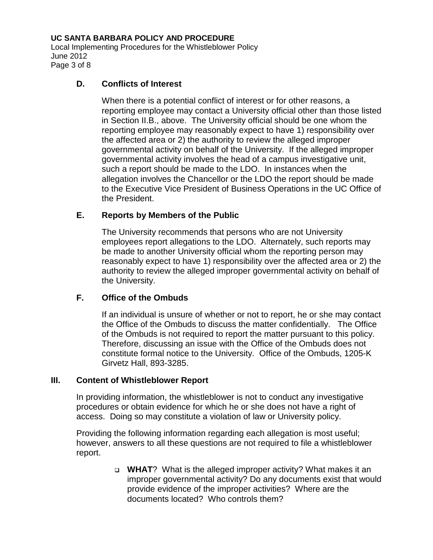Local Implementing Procedures for the Whistleblower Policy June 2012 Page 3 of 8

### **D. Conflicts of Interest**

When there is a potential conflict of interest or for other reasons, a reporting employee may contact a University official other than those listed in Section II.B., above. The University official should be one whom the reporting employee may reasonably expect to have 1) responsibility over the affected area or 2) the authority to review the alleged improper governmental activity on behalf of the University. If the alleged improper governmental activity involves the head of a campus investigative unit, such a report should be made to the LDO. In instances when the allegation involves the Chancellor or the LDO the report should be made to the Executive Vice President of Business Operations in the UC Office of the President.

# **E. Reports by Members of the Public**

The University recommends that persons who are not University employees report allegations to the LDO. Alternately, such reports may be made to another University official whom the reporting person may reasonably expect to have 1) responsibility over the affected area or 2) the authority to review the alleged improper governmental activity on behalf of the University.

# **F. Office of the Ombuds**

If an individual is unsure of whether or not to report, he or she may contact the Office of the Ombuds to discuss the matter confidentially. The Office of the Ombuds is not required to report the matter pursuant to this policy. Therefore, discussing an issue with the Office of the Ombuds does not constitute formal notice to the University. Office of the Ombuds, 1205-K Girvetz Hall, 893-3285.

#### **III. Content of Whistleblower Report**

In providing information, the whistleblower is not to conduct any investigative procedures or obtain evidence for which he or she does not have a right of access.Doing so may constitute a violation of law or University policy.

Providing the following information regarding each allegation is most useful; however, answers to all these questions are not required to file a whistleblower report.

> **WHAT**? What is the alleged improper activity? What makes it an improper governmental activity? Do any documents exist that would provide evidence of the improper activities? Where are the documents located? Who controls them?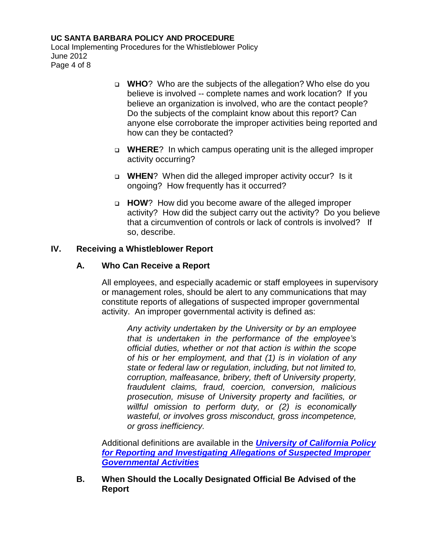Local Implementing Procedures for the Whistleblower Policy June 2012 Page 4 of 8

- **WHO**? Who are the subjects of the allegation? Who else do you believe is involved -- complete names and work location? If you believe an organization is involved, who are the contact people? Do the subjects of the complaint know about this report? Can anyone else corroborate the improper activities being reported and how can they be contacted?
- **WHERE**? In which campus operating unit is the alleged improper activity occurring?
- **WHEN**? When did the alleged improper activity occur? Is it ongoing? How frequently has it occurred?
- **HOW**? How did you become aware of the alleged improper activity? How did the subject carry out the activity? Do you believe that a circumvention of controls or lack of controls is involved? If so, describe.

### **IV. Receiving a Whistleblower Report**

### **A. Who Can Receive a Report**

All employees, and especially academic or staff employees in supervisory or management roles, should be alert to any communications that may constitute reports of allegations of suspected improper governmental activity. An improper governmental activity is defined as:

*Any activity undertaken by the University or by an employee that is undertaken in the performance of the employee's official duties, whether or not that action is within the scope of his or her employment, and that (1) is in violation of any state or federal law or regulation, including, but not limited to, corruption, malfeasance, bribery, theft of University property, fraudulent claims, fraud, coercion, conversion, malicious prosecution, misuse of University property and facilities, or willful omission to perform duty, or (2) is economically wasteful, or involves gross misconduct, gross incompetence, or gross inefficiency.* 

Additional definitions are available in the *[University of California Policy](http://www.ucop.edu/ucophome/coordrev/policy/PP040208Policy.pdf)  [for Reporting and Investigating Allegations of Suspected Improper](http://www.ucop.edu/ucophome/coordrev/policy/PP040208Policy.pdf)  [Governmental Activities](http://www.ucop.edu/ucophome/coordrev/policy/PP040208Policy.pdf)*

**B. When Should the Locally Designated Official Be Advised of the Report**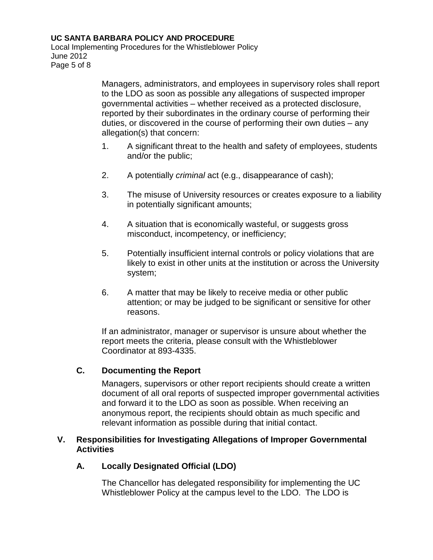Local Implementing Procedures for the Whistleblower Policy June 2012 Page 5 of 8

> Managers, administrators, and employees in supervisory roles shall report to the LDO as soon as possible any allegations of suspected improper governmental activities – whether received as a protected disclosure, reported by their subordinates in the ordinary course of performing their duties, or discovered in the course of performing their own duties – any allegation(s) that concern:

- 1. A significant threat to the health and safety of employees, students and/or the public;
- 2. A potentially *criminal* act (e.g., disappearance of cash);
- 3. The misuse of University resources or creates exposure to a liability in potentially significant amounts;
- 4. A situation that is economically wasteful, or suggests gross misconduct, incompetency, or inefficiency;
- 5. Potentially insufficient internal controls or policy violations that are likely to exist in other units at the institution or across the University system;
- 6. A matter that may be likely to receive media or other public attention; or may be judged to be significant or sensitive for other reasons.

If an administrator, manager or supervisor is unsure about whether the report meets the criteria, please consult with the Whistleblower Coordinator at 893-4335.

# **C. Documenting the Report**

Managers, supervisors or other report recipients should create a written document of all oral reports of suspected improper governmental activities and forward it to the LDO as soon as possible. When receiving an anonymous report, the recipients should obtain as much specific and relevant information as possible during that initial contact.

### **V. Responsibilities for Investigating Allegations of Improper Governmental Activities**

# **A. Locally Designated Official (LDO)**

The Chancellor has delegated responsibility for implementing the UC Whistleblower Policy at the campus level to the LDO. The LDO is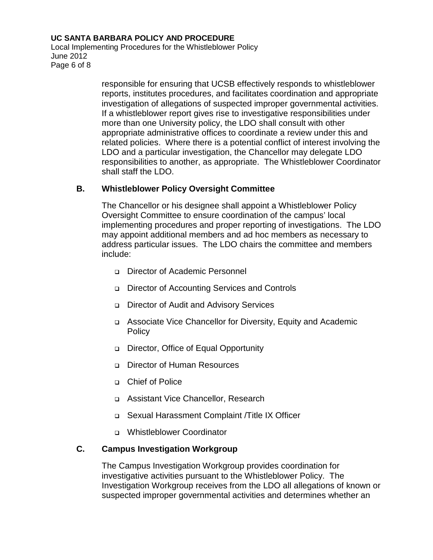Local Implementing Procedures for the Whistleblower Policy June 2012 Page 6 of 8

> responsible for ensuring that UCSB effectively responds to whistleblower reports, institutes procedures, and facilitates coordination and appropriate investigation of allegations of suspected improper governmental activities. If a whistleblower report gives rise to investigative responsibilities under more than one University policy, the LDO shall consult with other appropriate administrative offices to coordinate a review under this and related policies. Where there is a potential conflict of interest involving the LDO and a particular investigation, the Chancellor may delegate LDO responsibilities to another, as appropriate. The Whistleblower Coordinator shall staff the LDO.

### **B. Whistleblower Policy Oversight Committee**

The Chancellor or his designee shall appoint a Whistleblower Policy Oversight Committee to ensure coordination of the campus' local implementing procedures and proper reporting of investigations. The LDO may appoint additional members and ad hoc members as necessary to address particular issues. The LDO chairs the committee and members include:

- Director of Academic Personnel
- Director of Accounting Services and Controls
- Director of Audit and Advisory Services
- Associate Vice Chancellor for Diversity, Equity and Academic **Policy**
- Director, Office of Equal Opportunity
- □ Director of Human Resources
- Chief of Police
- Assistant Vice Chancellor, Research
- Sexual Harassment Complaint /Title IX Officer
- Whistleblower Coordinator

# **C. Campus Investigation Workgroup**

The Campus Investigation Workgroup provides coordination for investigative activities pursuant to the Whistleblower Policy. The Investigation Workgroup receives from the LDO all allegations of known or suspected improper governmental activities and determines whether an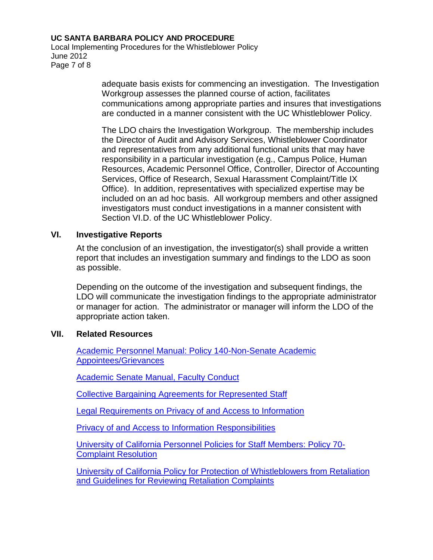Local Implementing Procedures for the Whistleblower Policy June 2012 Page 7 of 8

> adequate basis exists for commencing an investigation. The Investigation Workgroup assesses the planned course of action, facilitates communications among appropriate parties and insures that investigations are conducted in a manner consistent with the UC Whistleblower Policy.

> The LDO chairs the Investigation Workgroup. The membership includes the Director of Audit and Advisory Services, Whistleblower Coordinator and representatives from any additional functional units that may have responsibility in a particular investigation (e.g., Campus Police, Human Resources, Academic Personnel Office, Controller, Director of Accounting Services, Office of Research, Sexual Harassment Complaint/Title IX Office). In addition, representatives with specialized expertise may be included on an ad hoc basis. All workgroup members and other assigned investigators must conduct investigations in a manner consistent with Section VI.D. of the UC Whistleblower Policy.

# **VI. Investigative Reports**

At the conclusion of an investigation, the investigator(s) shall provide a written report that includes an investigation summary and findings to the LDO as soon as possible.

Depending on the outcome of the investigation and subsequent findings, the LDO will communicate the investigation findings to the appropriate administrator or manager for action. The administrator or manager will inform the LDO of the appropriate action taken.

# **VII. Related Resources**

[Academic Personnel Manual: Policy 140-Non-Senate Academic](http://www.ucop.edu/acadadv/acadpers/apm/welcome.html)  [Appointees/Grievances](http://www.ucop.edu/acadadv/acadpers/apm/welcome.html)

[Academic Senate Manual, Faculty Conduct](http://www.universityofcalifornia.edu/senate/manual/appendix4.html)

[Collective Bargaining Agreements for Represented Staff](http://hr.ucsb.edu/policies/)

[Legal Requirements on Privacy of and Access to Information](http://www.ucop.edu/ucophome/policies/bfb/rmp8toc.html)

[Privacy of and Access to Information Responsibilities](http://www.ucop.edu/ucophome/policies/bfb/rmp7.html)

University of [California Personnel Policies for Staff Members: Policy 70-](http://atyourservice.ucop.edu/employees/policies_employee_labor_relations/personnel_policies/index.html) [Complaint Resolution](http://atyourservice.ucop.edu/employees/policies_employee_labor_relations/personnel_policies/index.html)

[University of California Policy for Protection of Whistleblowers from Retaliation](http://www.ucop.edu/ucophome/coordrev/policy/10-04-02retaliation.pdf)  [and Guidelines for Reviewing Retaliation Complaints](http://www.ucop.edu/ucophome/coordrev/policy/10-04-02retaliation.pdf)